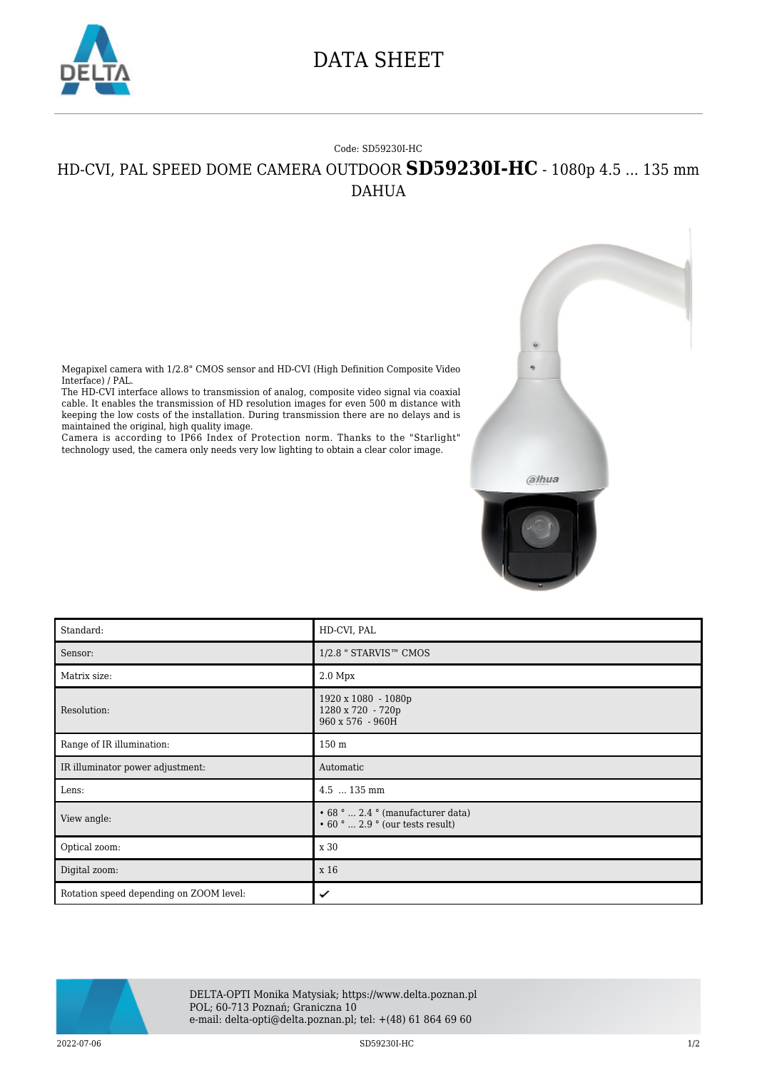

## DATA SHEET

## Code: SD59230I-HC HD-CVI, PAL SPEED DOME CAMERA OUTDOOR **SD59230I-HC** - 1080p 4.5 ... 135 mm DAHUA

Megapixel camera with 1/2.8" CMOS sensor and HD-CVI (High Definition Composite Video Interface) / PAL.

The HD-CVI interface allows to transmission of analog, composite video signal via coaxial cable. It enables the transmission of HD resolution images for even 500 m distance with keeping the low costs of the installation. During transmission there are no delays and is maintained the original, high quality image.

Camera is according to IP66 Index of Protection norm. Thanks to the "Starlight" technology used, the camera only needs very low lighting to obtain a clear color image.

| Standard:                               | HD-CVI, PAL                                                                 |
|-----------------------------------------|-----------------------------------------------------------------------------|
| Sensor:                                 | 1/2.8 " STARVIS™ CMOS                                                       |
| Matrix size:                            | $2.0\ \mathrm{Mpx}$                                                         |
| Resolution:                             | 1920 x 1080 - 1080p<br>1280 x 720 - 720p<br>960 x 576 - 960H                |
| Range of IR illumination:               | 150 <sub>m</sub>                                                            |
| IR illuminator power adjustment:        | Automatic                                                                   |
| Lens:                                   | 4.5  135 mm                                                                 |
| View angle:                             | • 68 °  2.4 ° (manufacturer data)<br>$\cdot$ 60 °  2.9 ° (our tests result) |
| Optical zoom:                           | x 30                                                                        |
| Digital zoom:                           | x 16                                                                        |
| Rotation speed depending on ZOOM level: | ✓                                                                           |

alhua



DELTA-OPTI Monika Matysiak; https://www.delta.poznan.pl POL; 60-713 Poznań; Graniczna 10 e-mail: delta-opti@delta.poznan.pl; tel: +(48) 61 864 69 60

2022-07-06 SD59230I-HC 1/2